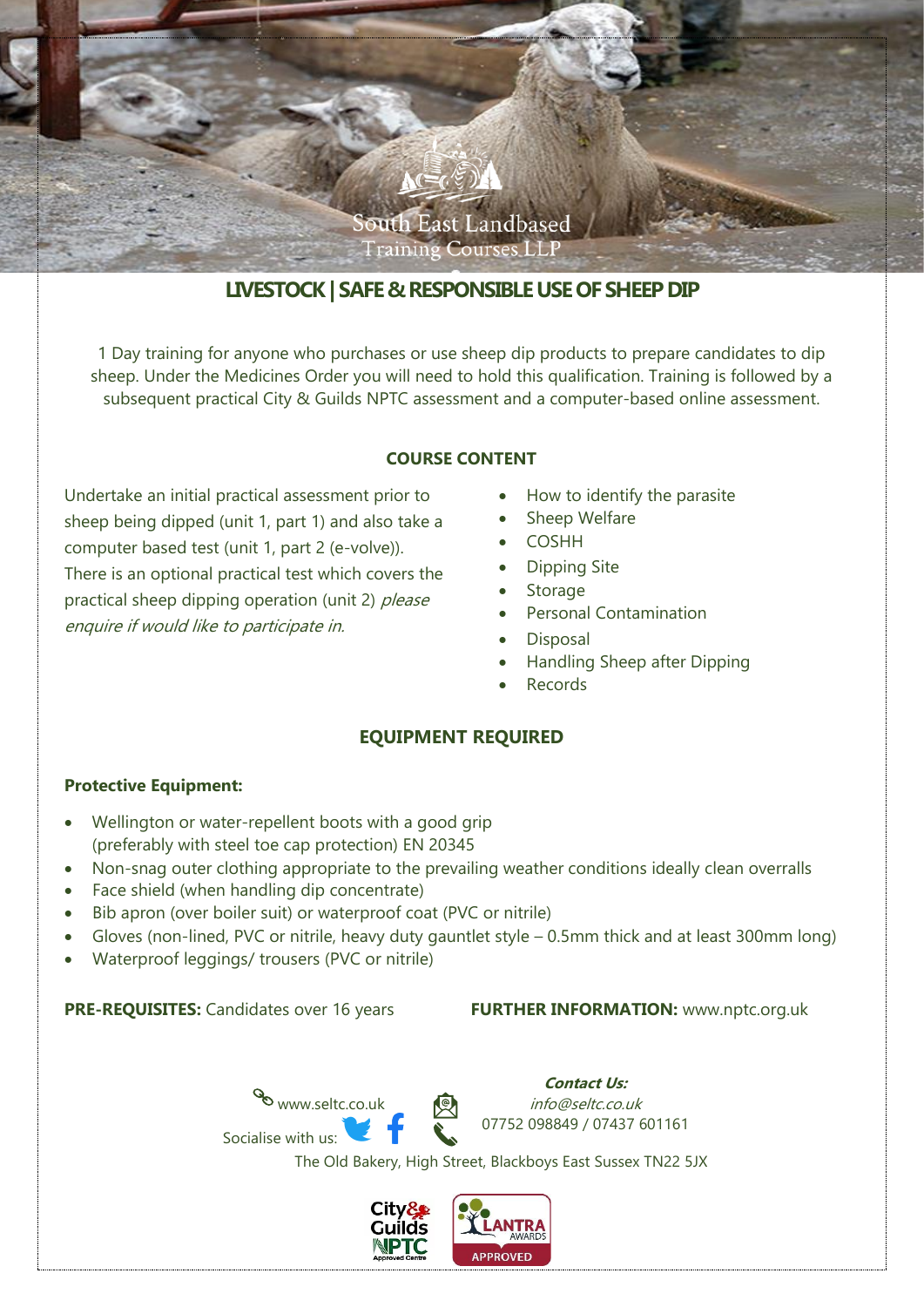

# **LIVESTOCK| SAFE & RESPONSIBLE USE OF SHEEP DIP**

1 Day training for anyone who purchases or use sheep dip products to prepare candidates to dip sheep. Under the Medicines Order you will need to hold this qualification. Training is followed by a subsequent practical City & Guilds NPTC assessment and a computer-based online assessment.

# **COURSE CONTENT**

Undertake an initial practical assessment prior to sheep being dipped (unit 1, part 1) and also take a computer based test (unit 1, part 2 (e-volve)). There is an optional practical test which covers the practical sheep dipping operation (unit 2) please enquire if would like to participate in.

- How to identify the parasite
- Sheep Welfare
- **COSHH**
- Dipping Site
- Storage
- Personal Contamination
- Disposal
- Handling Sheep after Dipping
- Records

# **EQUIPMENT REQUIRED**

### **Protective Equipment:**

- Wellington or water-repellent boots with a good grip (preferably with steel toe cap protection) EN 20345
- Non-snag outer clothing appropriate to the prevailing weather conditions ideally clean overralls
- Face shield (when handling dip concentrate)
- Bib apron (over boiler suit) or waterproof coat (PVC or nitrile)
- Gloves (non-lined, PVC or nitrile, heavy duty gauntlet style 0.5mm thick and at least 300mm long)
- Waterproof leggings/ trousers (PVC or nitrile)

#### **PRE-REQUISITES:** Candidates over 16 years **FURTHER INFORMATION:** [www.nptc.org.uk](http://www.nptc.org.uk/)





The Old Bakery, High Street, Blackboys East Sussex TN22 5JX